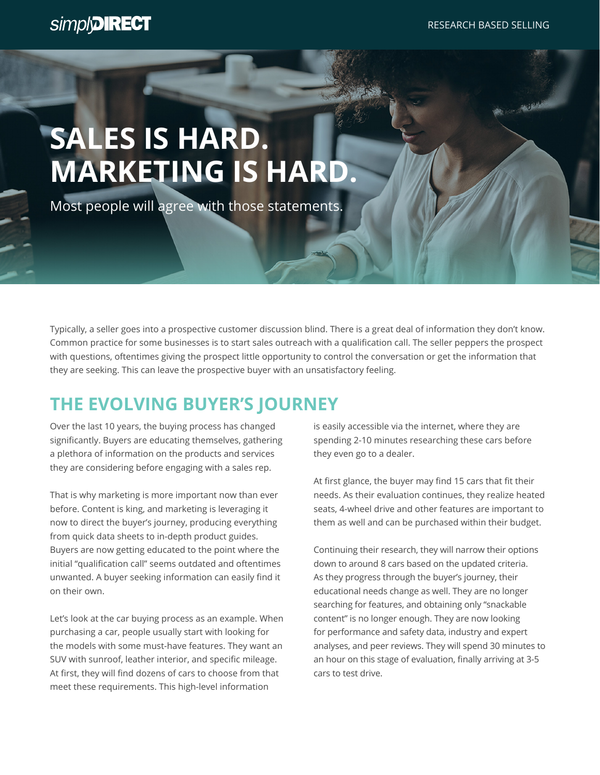$-3886$ 

## **SALES IS HARD. MARKETING IS HARD.**

Most people will agree with those statements.

Typically, a seller goes into a prospective customer discussion blind. There is a great deal of information they don't know. Common practice for some businesses is to start sales outreach with a qualification call. The seller peppers the prospect with questions, oftentimes giving the prospect little opportunity to control the conversation or get the information that they are seeking. This can leave the prospective buyer with an unsatisfactory feeling.

## **THE EVOLVING BUYER'S JOURNEY**

Over the last 10 years, the buying process has changed significantly. Buyers are educating themselves, gathering a plethora of information on the products and services they are considering before engaging with a sales rep.

That is why marketing is more important now than ever before. Content is king, and marketing is leveraging it now to direct the buyer's journey, producing everything from quick data sheets to in-depth product guides. Buyers are now getting educated to the point where the initial "qualification call" seems outdated and oftentimes unwanted. A buyer seeking information can easily find it on their own.

Let's look at the car buying process as an example. When purchasing a car, people usually start with looking for the models with some must-have features. They want an SUV with sunroof, leather interior, and specific mileage. At first, they will find dozens of cars to choose from that meet these requirements. This high-level information

is easily accessible via the internet, where they are spending 2-10 minutes researching these cars before they even go to a dealer.

At first glance, the buyer may find 15 cars that fit their needs. As their evaluation continues, they realize heated seats, 4-wheel drive and other features are important to them as well and can be purchased within their budget.

Continuing their research, they will narrow their options down to around 8 cars based on the updated criteria. As they progress through the buyer's journey, their educational needs change as well. They are no longer searching for features, and obtaining only "snackable content" is no longer enough. They are now looking for performance and safety data, industry and expert analyses, and peer reviews. They will spend 30 minutes to an hour on this stage of evaluation, finally arriving at 3-5 cars to test drive.